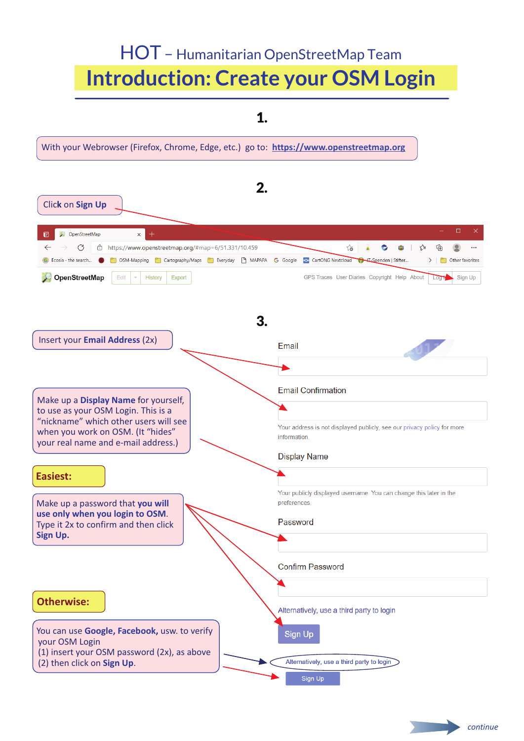## HOT – Humanitarian OpenStreetMap Team **Introduction: Create your OSM Login**

1.

With your Webrowser (Firefox, Chrome, Edge, etc.) go to: **https://www.openstreetmap.org** 2. Clic**k** on **Sign Up**  $\Box$  $\overline{E}$ OpenStreetMap  $\times$  $\leftarrow$ C https://www.openstreetmap.org/#map=6/51.331/10.459  $\approx$ ☆ দ্ৰি  $\circledcirc$ C a. Ä Cosia - the search... COSM-Mapping Cartography/Maps CE Everyday C MAPAPA G Google C CartONG Nextcloud CH Espenden | Stifter...  $>$  |  $\Box$  Other favorites OpenStreetMap Edit History Export GPS Traces User Diaries Copyright Help About Sign Up 3. Insert your **Email Address** (2x) Email **Email Confirmation** Make up a **Display Name** for yourself, to use as your OSM Login. This is a "nickname" which other users will see Your address is not displayed publicly, see our privacy policy for more when you work on OSM. (It "hides" information. your real name and e-mail address.) **Display Name Easiest:** Your publicly displayed username. You can change this later in the preferences Make up a password that **you will use only when you login to OSM**. Password Type it 2x to confirm and then click **Sign Up. Confirm Password Otherwise:** Alternatively, use a third party to login You can use **Google, Facebook,** usw. to verify **Sign Up** your OSM Login (1) insert your OSM password (2x), as above Alternatively, use a third party to login (2) then click on **Sign Up**.

Sign Up

*continue*